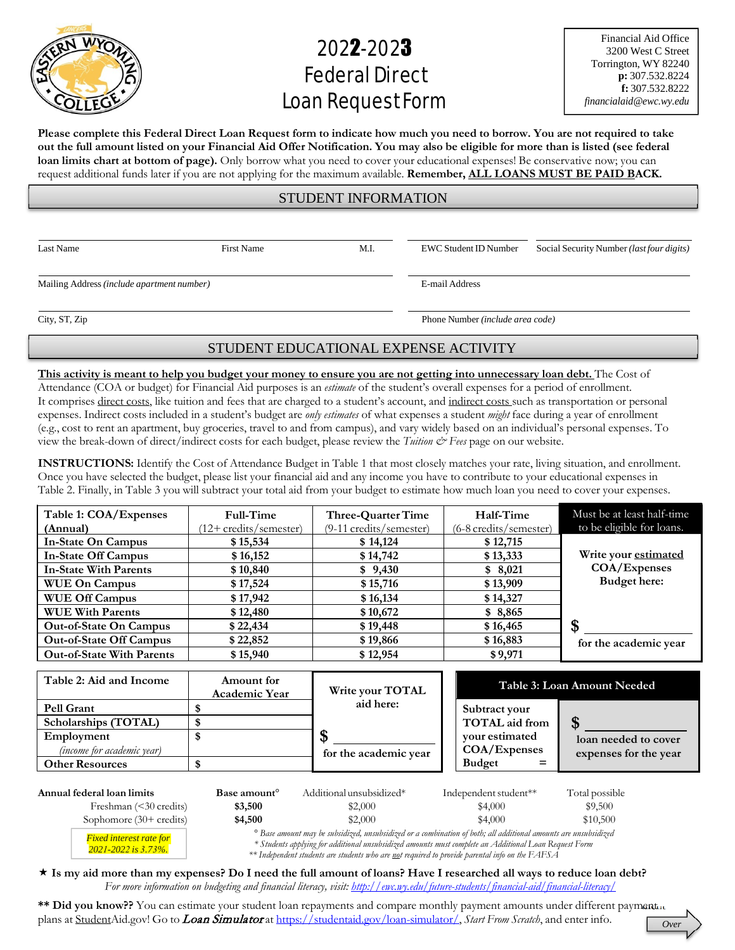

## 2022-2023 FederalDirect Loan Request Form

Financial Aid Office 3200 West C Street Torrington, WY 82240 **p:** 307.532.8224 **f:** 307.532.8222 *[financialaid@ewc.wy.edu](mailto:financialaid@ewc.wy.edu)*

Please complete this Federal Direct Loan Request form to indicate how much you need to borrow. You are not required to take out the full amount listed on your Financial Aid Offer Notification. You may also be eligible for more than is listed (see federal **loan limits chart at bottom of page).** Only borrow what you need to cover your educational expenses! Be conservative now; you can request additional funds later if you are not applying for the maximum available. **Remember, ALL LOANS MUST BE PAID BACK.**

## STUDENT INFORMATION

Mailing Address *(include apartment number)* E-mail Address

*2021-2022 is 3.73%.*

Last Name First Name First Name M.I. EWC Student ID Number Social Security Number *(last four digits)* 

City, ST, Zip Phone Number *(include area code)*

## STUDENT EDUCATIONAL EXPENSE ACTIVITY

This activity is meant to help you budget your money to ensure you are not getting into unnecessary loan debt. The Cost of Attendance (COA or budget) for Financial Aid purposes is an *estimate* of the student's overall expenses for a period of enrollment. It comprises direct costs, like tuition and fees that are charged to a student's account, and indirect costs such as transportation or personal expenses. Indirect costs included in a student's budget are *only estimates* of what expenses a student *might* face during a year of enrollment (e.g., cost to rent an apartment, buy groceries, travel to and from campus), and vary widely based on an individual's personal expenses. To view the break-down of direct/indirect costs for each budget, please review the *Tuition & Fees* page on our website.

**INSTRUCTIONS:** Identify the Cost of Attendance Budget in Table 1 that most closely matches your rate, living situation, and enrollment. Once you have selected the budget, please list your financial aid and any income you have to contribute to your educational expenses in Table 2. Finally, in Table 3 you will subtract your total aid from your budget to estimate how much loan you need to cover your expenses.

| Table 1: COA/Expenses<br>(Annual) | Full-Time<br>(12+ credits/semester) | Three-Quarter Time<br>(9-11 credits/semester) | Half-Time<br>$(6-8 \text{ credits/semester})$ | Must be at least half-time<br>to be eligible for loans. |
|-----------------------------------|-------------------------------------|-----------------------------------------------|-----------------------------------------------|---------------------------------------------------------|
| <b>In-State On Campus</b>         | \$15,534                            | \$14,124                                      | \$12,715                                      |                                                         |
| <b>In-State Off Campus</b>        | \$16,152                            | \$14,742                                      | \$13,333                                      | Write your estimated                                    |
| <b>In-State With Parents</b>      | \$10,840                            | \$9,430                                       | \$8,021                                       | COA/Expenses                                            |
| <b>WUE On Campus</b>              | \$17,524                            | \$15,716                                      | \$13,909                                      | Budget here:                                            |
| <b>WUE Off Campus</b>             | \$17,942                            | \$16,134                                      | \$14,327                                      |                                                         |
| <b>WUE With Parents</b>           | \$12,480                            | \$10,672                                      | \$8,865                                       |                                                         |
| <b>Out-of-State On Campus</b>     | \$22,434                            | \$19,448                                      | \$16,465                                      | \$                                                      |
| <b>Out-of-State Off Campus</b>    | \$22,852                            | \$19,866                                      | \$16,883                                      | for the academic year                                   |
| <b>Out-of-State With Parents</b>  | \$15,940                            | \$12,954                                      | \$9,971                                       |                                                         |

| Table 2: Aid and Income           | Amount for<br>Academic Year | Write your TOTAL      | Table 3: Loan Amount Needed |                       |
|-----------------------------------|-----------------------------|-----------------------|-----------------------------|-----------------------|
| <b>Pell Grant</b>                 |                             | aid here:             | Subtract your               |                       |
| Scholarships (TOTAL)              |                             |                       | TOTAL aid from              |                       |
| Employment                        |                             |                       | vour estimated              | loan needed to cover  |
| <i>(income for academic year)</i> |                             | for the academic year | COA/Expenses                | expenses for the year |
| <b>Other Resources</b>            |                             |                       | <b>Budget</b>               |                       |
|                                   |                             |                       |                             |                       |

| Annual federal loan limits           | Base amount <sup>o</sup> | Additional unsubsidized*                                                                                                                                                                                                                                                                                                                                      | Independent student** | Total possible |
|--------------------------------------|--------------------------|---------------------------------------------------------------------------------------------------------------------------------------------------------------------------------------------------------------------------------------------------------------------------------------------------------------------------------------------------------------|-----------------------|----------------|
| Freshman $(\leq 30 \text{ credits})$ | \$3,500                  | \$2,000                                                                                                                                                                                                                                                                                                                                                       | \$4,000               | \$9,500        |
| Sophomore $(30 + \text{credits})$    | \$4,500                  | \$2,000                                                                                                                                                                                                                                                                                                                                                       | \$4,000               | \$10,500       |
| <b>Fixed interest rate for</b>       |                          | <sup>o</sup> Base amount may be subsidized, unsubsidized or a combination of both; all additional amounts are unsubsidized<br>$\ast$ Continuous of the contract of the contract $f$ and $f$ and $f$ and $f$ and $f$ and $f$ and $f$ and $f$ and $f$ and $f$ and $f$ and $f$ and $f$ and $f$ and $f$ and $f$ and $f$ and $f$ and $f$ and $f$ and $f$ and $f$ a |                       |                |

*\* Students applying for additional unsubsidized amounts must complete an Additional Loan Request Form*

*\*\* Independent students are students who are not required to provide parental info on the FAFSA*

 **Is my aid more than my expenses? Do I need the full amount of loans? Have I researched all ways to reduce loan debt?** *For more information on budgeting and financial literacy, visit: <http://ewc.wy.edu/future-students/financial-aid/financial-literacy/>*

\*\* Did you know?? You can estimate your student loan repayments and compare monthly payment amounts under different payment. plans at <u>Student</u>Aid.gov! Go to *Loan Simulator* at https://studentaid.gov/loan-simulator/, *Start From Scratch*, and enter info.